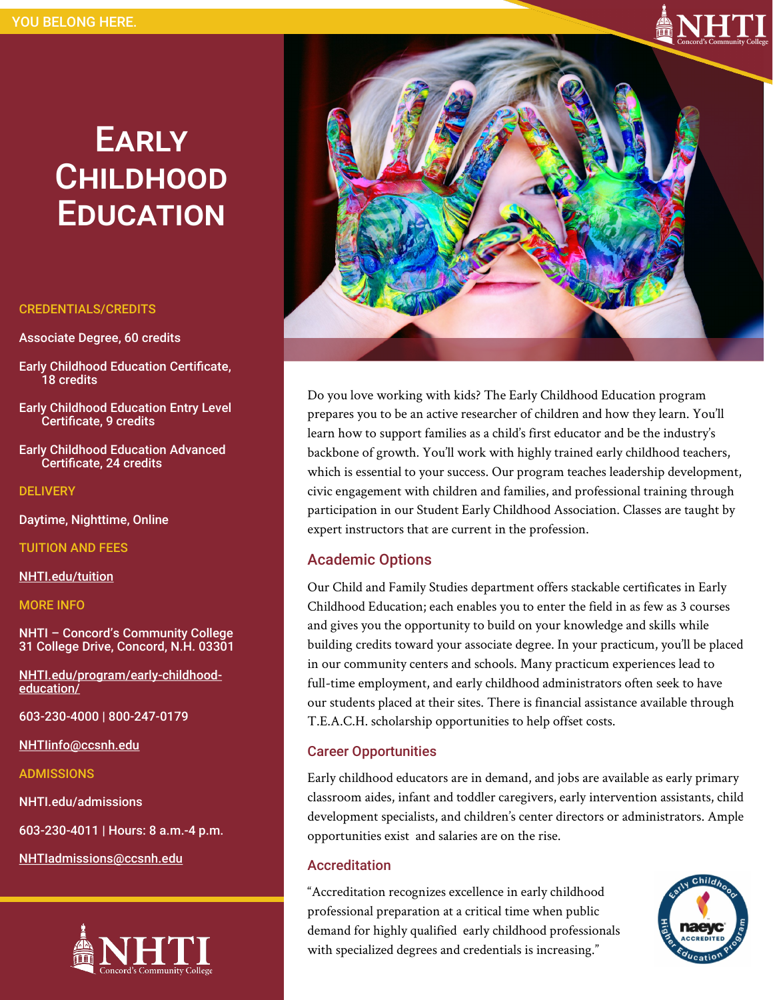# **EARLY CHILDHOOD EDUCATION**

#### CREDENTIALS/CREDITS

Associate Degree, 60 credits

- Early Childhood Education Certificate, 18 credits
- Early Childhood Education Entry Level Certificate, 9 credits
- Early Childhood Education Advanced Certificate, 24 credits

**DELIVERY** 

Daytime, Nighttime, Online

TUITION AND FEES

[NHTI.edu/tuition](http://www.NHTI.edu/tuition)

MORE INFO

NHTI – Concord's Community College 31 College Drive, Concord, N.H. 03301

[NHTI.edu/program/early](https://www.nhti.edu/program/early-childhood-education/)-childhood[education/](https://www.nhti.edu/program/early-childhood-education/)

603-230-4000 | 800-247-0179

[NHTIinfo@ccsnh.edu](mailto:NHTIinfo@ccsnh.edu)

ADMISSIONS

NHTI.edu/admissions

603-230-4011 | Hours: 8 a.m.-4 p.m.

[NHTIadmissions@ccsnh.edu](mailto:NHTIadmissions@ccsnh.edu)





Do you love working with kids? The Early Childhood Education program prepares you to be an active researcher of children and how they learn. You'll learn how to support families as a child's first educator and be the industry's backbone of growth. You'll work with highly trained early childhood teachers, which is essential to your success. Our program teaches leadership development, civic engagement with children and families, and professional training through participation in our Student Early Childhood Association. Classes are taught by expert instructors that are current in the profession.

### Academic Options

Our Child and Family Studies department offers stackable certificates in Early Childhood Education; each enables you to enter the field in as few as 3 courses and gives you the opportunity to build on your knowledge and skills while building credits toward your associate degree. In your practicum, you'll be placed in our community centers and schools. Many practicum experiences lead to full-time employment, and early childhood administrators often seek to have our students placed at their sites. There is financial assistance available through T.E.A.C.H. scholarship opportunities to help offset costs.

#### Career Opportunities

Early childhood educators are in demand, and jobs are available as early primary classroom aides, infant and toddler caregivers, early intervention assistants, child development specialists, and children's center directors or administrators. Ample opportunities exist and salaries are on the rise.

#### Accreditation

"Accreditation recognizes excellence in early childhood professional preparation at a critical time when public demand for highly qualified early childhood professionals with specialized degrees and credentials is increasing."